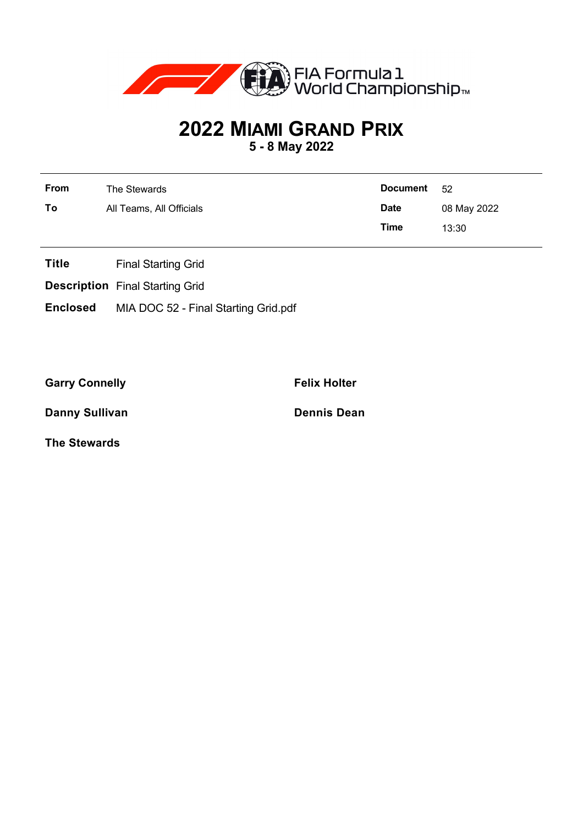

## **2022 MIAMI GRAND PRIX**

**5 - 8 May 2022**

| <b>From</b> | The Stewards             | Document 52 |             |
|-------------|--------------------------|-------------|-------------|
| To          | All Teams, All Officials | <b>Date</b> | 08 May 2022 |
|             |                          | Time        | 13:30       |

- **Title** Final Starting Grid
- **Description** Final Starting Grid
- **Enclosed** MIA DOC 52 Final Starting Grid.pdf

Garry Connelly **Felix Holter Felix Holter** 

**Danny Sullivan Dennis Dean** 

**The Stewards**